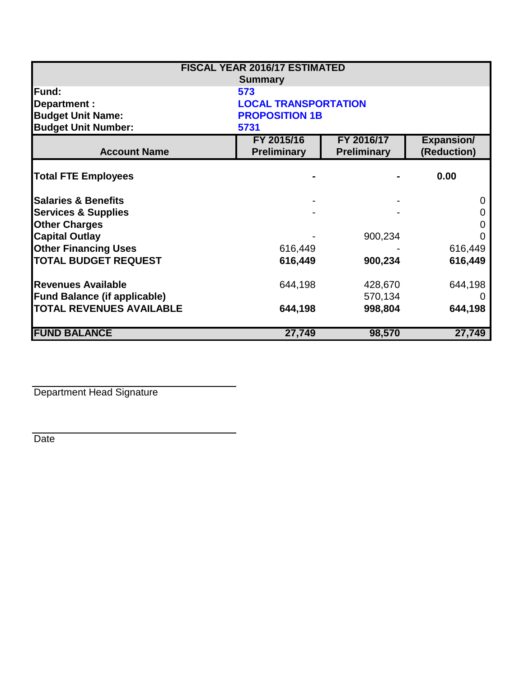| <b>FISCAL YEAR 2016/17 ESTIMATED</b> |                             |                    |                   |  |  |
|--------------------------------------|-----------------------------|--------------------|-------------------|--|--|
| <b>Summary</b>                       |                             |                    |                   |  |  |
| <b>Fund:</b>                         | 573                         |                    |                   |  |  |
| Department :                         | <b>LOCAL TRANSPORTATION</b> |                    |                   |  |  |
| <b>Budget Unit Name:</b>             | <b>PROPOSITION 1B</b>       |                    |                   |  |  |
| <b>Budget Unit Number:</b>           | 5731                        |                    |                   |  |  |
|                                      | FY 2015/16                  | FY 2016/17         | <b>Expansion/</b> |  |  |
| <b>Account Name</b>                  | <b>Preliminary</b>          | <b>Preliminary</b> | (Reduction)       |  |  |
| <b>Total FTE Employees</b>           |                             |                    | 0.00              |  |  |
| <b>Salaries &amp; Benefits</b>       |                             |                    | 0                 |  |  |
| <b>Services &amp; Supplies</b>       |                             |                    | 0                 |  |  |
| <b>Other Charges</b>                 |                             |                    | O                 |  |  |
| <b>Capital Outlay</b>                |                             | 900,234            |                   |  |  |
| <b>Other Financing Uses</b>          | 616,449                     |                    | 616,449           |  |  |
| <b>TOTAL BUDGET REQUEST</b>          | 616,449                     | 900,234            | 616,449           |  |  |
| <b>Revenues Available</b>            | 644,198                     | 428,670            | 644,198           |  |  |
| <b>Fund Balance (if applicable)</b>  |                             | 570,134            |                   |  |  |
| <b>TOTAL REVENUES AVAILABLE</b>      | 644,198                     | 998,804            | 644,198           |  |  |
| <b>FUND BALANCE</b>                  | 27,749                      | 98,570             | 27,749            |  |  |

Department Head Signature

Date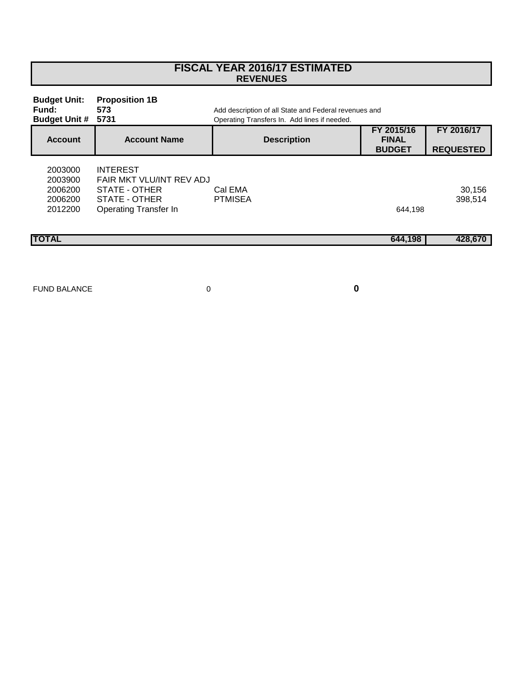| <b>REVENUES</b>                                      |                                                                                                                                               |                    |                                             |                                |  |
|------------------------------------------------------|-----------------------------------------------------------------------------------------------------------------------------------------------|--------------------|---------------------------------------------|--------------------------------|--|
| <b>Budget Unit:</b><br>Fund:<br><b>Budget Unit #</b> | <b>Proposition 1B</b><br>573<br>Add description of all State and Federal revenues and<br>5731<br>Operating Transfers In. Add lines if needed. |                    |                                             |                                |  |
| <b>Account</b>                                       | <b>Account Name</b>                                                                                                                           | <b>Description</b> | FY 2015/16<br><b>FINAL</b><br><b>BUDGET</b> | FY 2016/17<br><b>REQUESTED</b> |  |
| 2003000<br>2003900<br>2006200<br>2006200<br>2012200  | <b>INTEREST</b><br>FAIR MKT VLU/INT REV ADJ<br>STATE - OTHER<br>STATE - OTHER<br><b>Operating Transfer In</b>                                 | Cal EMA<br>PTMISEA | 644,198                                     | 30,156<br>398,514              |  |
| <b>TOTAL</b>                                         |                                                                                                                                               |                    | 644,198                                     | 428,670                        |  |
|                                                      |                                                                                                                                               |                    |                                             |                                |  |

 **FISCAL YEAR 2016/17 ESTIMATED**

FUND BALANCE 0

Г